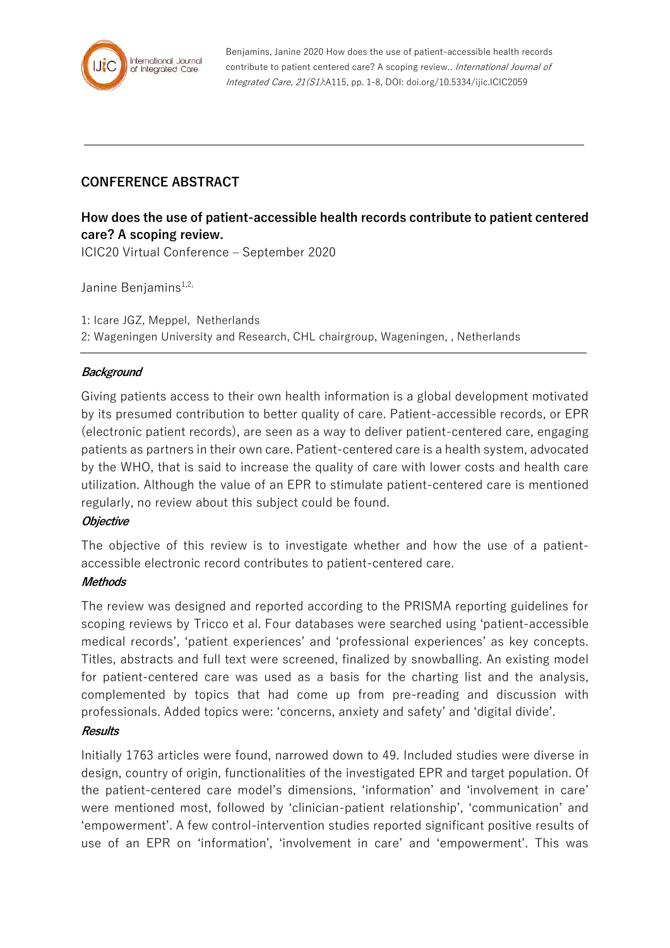

Benjamins, Janine 2020 How does the use of patient-accessible health records contribute to patient centered care? A scoping review.. International Journal of Integrated Care, 21(S1):A115, pp. 1-8, DOI: doi.org/10.5334/ijic.ICIC2059

# **CONFERENCE ABSTRACT**

# **How does the use of patient-accessible health records contribute to patient centered care? A scoping review.** ICIC20 Virtual Conference – September 2020

Janine Benjamins<sup>1,2,</sup>

1: Icare JGZ, Meppel, Netherlands 2: Wageningen University and Research, CHL chairgroup, Wageningen, , Netherlands

## **Background**

Giving patients access to their own health information is a global development motivated by its presumed contribution to better quality of care. Patient-accessible records, or EPR (electronic patient records), are seen as a way to deliver patient-centered care, engaging patients as partners in their own care. Patient-centered care is a health system, advocated by the WHO, that is said to increase the quality of care with lower costs and health care utilization. Although the value of an EPR to stimulate patient-centered care is mentioned regularly, no review about this subject could be found.

#### **Objective**

The objective of this review is to investigate whether and how the use of a patientaccessible electronic record contributes to patient-centered care.

## **Methods**

The review was designed and reported according to the PRISMA reporting guidelines for scoping reviews by Tricco et al. Four databases were searched using 'patient-accessible medical records', 'patient experiences' and 'professional experiences' as key concepts. Titles, abstracts and full text were screened, finalized by snowballing. An existing model for patient-centered care was used as a basis for the charting list and the analysis, complemented by topics that had come up from pre-reading and discussion with professionals. Added topics were: 'concerns, anxiety and safety' and 'digital divide'.

#### **Results**

Initially 1763 articles were found, narrowed down to 49. Included studies were diverse in design, country of origin, functionalities of the investigated EPR and target population. Of the patient-centered care model's dimensions, 'information' and 'involvement in care' were mentioned most, followed by 'clinician-patient relationship', 'communication' and 'empowerment'. A few control-intervention studies reported significant positive results of use of an EPR on 'information', 'involvement in care' and 'empowerment'. This was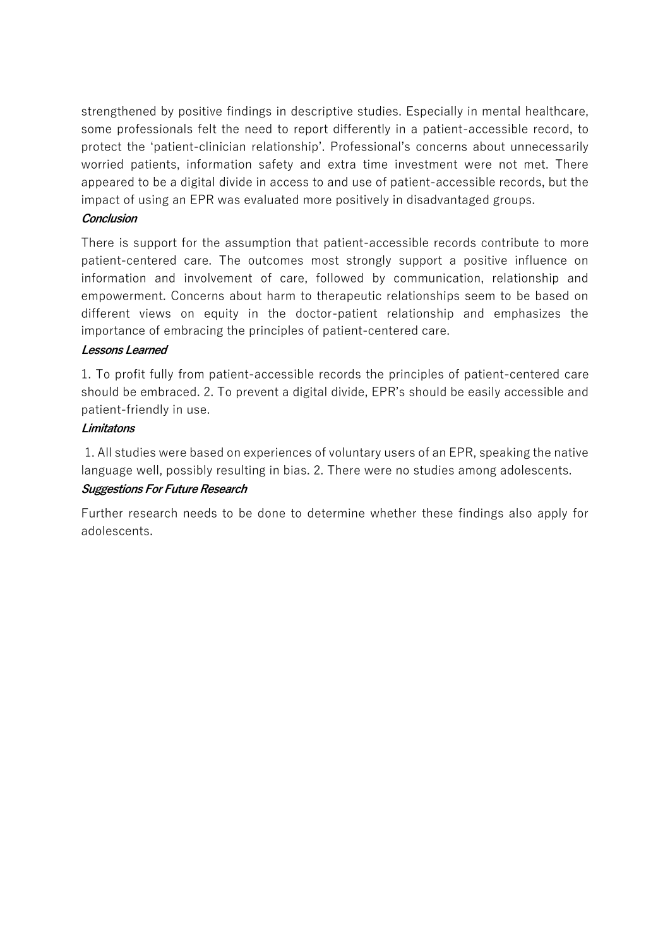strengthened by positive findings in descriptive studies. Especially in mental healthcare, some professionals felt the need to report differently in a patient-accessible record, to protect the 'patient-clinician relationship'. Professional's concerns about unnecessarily worried patients, information safety and extra time investment were not met. There appeared to be a digital divide in access to and use of patient-accessible records, but the impact of using an EPR was evaluated more positively in disadvantaged groups.

## **Conclusion**

There is support for the assumption that patient-accessible records contribute to more patient-centered care. The outcomes most strongly support a positive influence on information and involvement of care, followed by communication, relationship and empowerment. Concerns about harm to therapeutic relationships seem to be based on different views on equity in the doctor-patient relationship and emphasizes the importance of embracing the principles of patient-centered care.

## **Lessons Learned**

1. To profit fully from patient-accessible records the principles of patient-centered care should be embraced. 2. To prevent a digital divide, EPR's should be easily accessible and patient-friendly in use.

## **Limitatons**

1. All studies were based on experiences of voluntary users of an EPR, speaking the native language well, possibly resulting in bias. 2. There were no studies among adolescents. **Suggestions For Future Research**

Further research needs to be done to determine whether these findings also apply for adolescents.